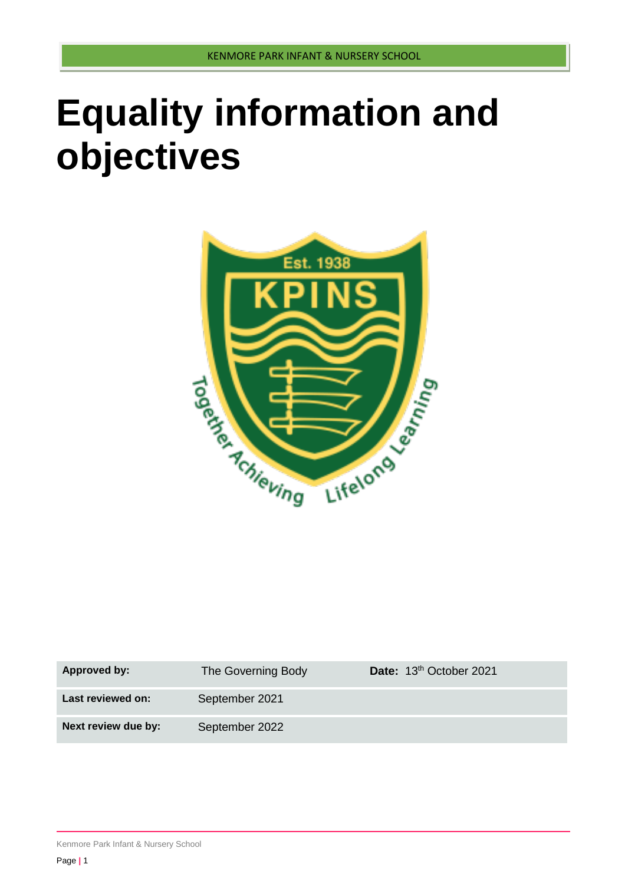# **Equality information and objectives**



| Approved by:        | The Governing Body | Date: 13 <sup>th</sup> October 2021 |
|---------------------|--------------------|-------------------------------------|
| Last reviewed on:   | September 2021     |                                     |
| Next review due by: | September 2022     |                                     |

Kenmore Park Infant & Nursery School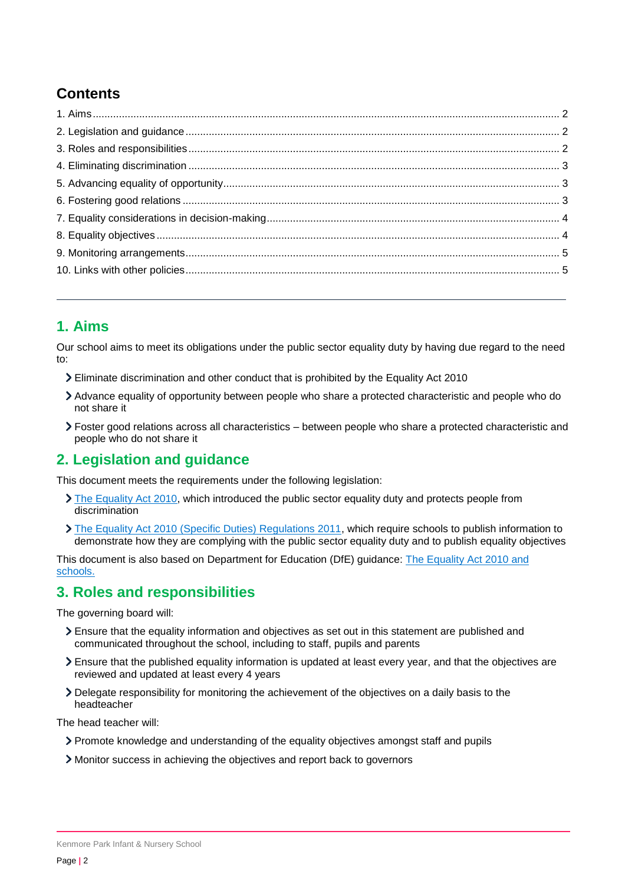# **Contents**

## <span id="page-1-0"></span>**1. Aims**

Our school aims to meet its obligations under the public sector equality duty by having due regard to the need to:

- Eliminate discrimination and other conduct that is prohibited by the Equality Act 2010
- Advance equality of opportunity between people who share a protected characteristic and people who do not share it
- Foster good relations across all characteristics between people who share a protected characteristic and people who do not share it

## <span id="page-1-1"></span>**2. Legislation and guidance**

This document meets the requirements under the following legislation:

- [The Equality Act 2010,](http://www.legislation.gov.uk/ukpga/2010/15/contents) which introduced the public sector equality duty and protects people from discrimination
- [The Equality Act 2010 \(Specific Duties\) Regulations 2011,](http://www.legislation.gov.uk/uksi/2011/2260/contents/made) which require schools to publish information to demonstrate how they are complying with the public sector equality duty and to publish equality objectives

This document is also based on Department for Education (DfE) guidance: [The Equality Act 2010 and](https://www.gov.uk/government/publications/equality-act-2010-advice-for-schools)  [schools.](https://www.gov.uk/government/publications/equality-act-2010-advice-for-schools) 

#### <span id="page-1-2"></span>**3. Roles and responsibilities**

The governing board will:

- Ensure that the equality information and objectives as set out in this statement are published and communicated throughout the school, including to staff, pupils and parents
- Ensure that the published equality information is updated at least every year, and that the objectives are reviewed and updated at least every 4 years
- Delegate responsibility for monitoring the achievement of the objectives on a daily basis to the headteacher

The head teacher will:

- Promote knowledge and understanding of the equality objectives amongst staff and pupils
- Monitor success in achieving the objectives and report back to governors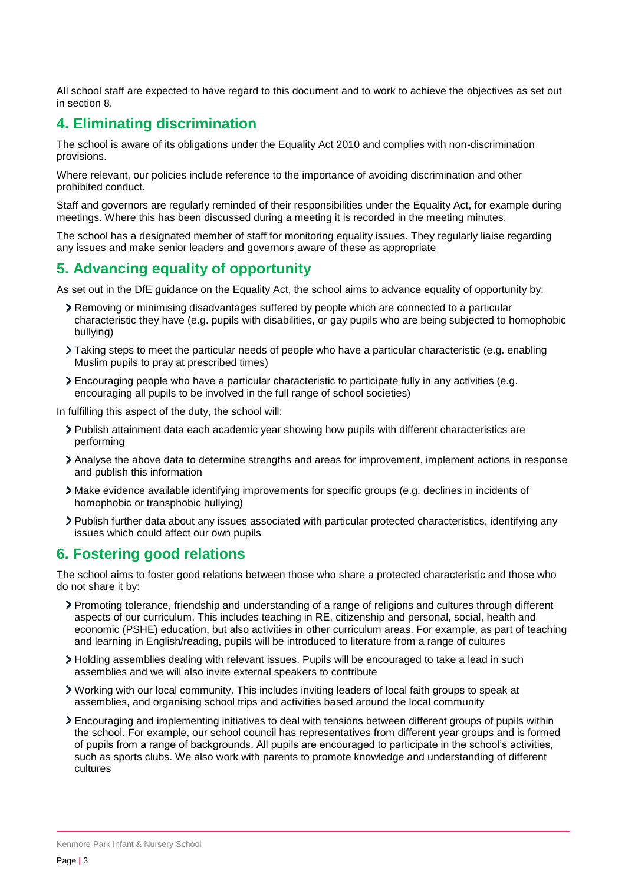All school staff are expected to have regard to this document and to work to achieve the objectives as set out in section 8.

# <span id="page-2-0"></span>**4. Eliminating discrimination**

The school is aware of its obligations under the Equality Act 2010 and complies with non-discrimination provisions.

Where relevant, our policies include reference to the importance of avoiding discrimination and other prohibited conduct.

Staff and governors are regularly reminded of their responsibilities under the Equality Act, for example during meetings. Where this has been discussed during a meeting it is recorded in the meeting minutes.

The school has a designated member of staff for monitoring equality issues. They regularly liaise regarding any issues and make senior leaders and governors aware of these as appropriate

#### <span id="page-2-1"></span>**5. Advancing equality of opportunity**

As set out in the DfE guidance on the Equality Act, the school aims to advance equality of opportunity by:

- Removing or minimising disadvantages suffered by people which are connected to a particular characteristic they have (e.g. pupils with disabilities, or gay pupils who are being subjected to homophobic bullying)
- Taking steps to meet the particular needs of people who have a particular characteristic (e.g. enabling Muslim pupils to pray at prescribed times)
- Encouraging people who have a particular characteristic to participate fully in any activities (e.g. encouraging all pupils to be involved in the full range of school societies)

In fulfilling this aspect of the duty, the school will:

- Publish attainment data each academic year showing how pupils with different characteristics are performing
- Analyse the above data to determine strengths and areas for improvement, implement actions in response and publish this information
- Make evidence available identifying improvements for specific groups (e.g. declines in incidents of homophobic or transphobic bullying)
- Publish further data about any issues associated with particular protected characteristics, identifying any issues which could affect our own pupils

#### <span id="page-2-2"></span>**6. Fostering good relations**

The school aims to foster good relations between those who share a protected characteristic and those who do not share it by:

- Promoting tolerance, friendship and understanding of a range of religions and cultures through different aspects of our curriculum. This includes teaching in RE, citizenship and personal, social, health and economic (PSHE) education, but also activities in other curriculum areas. For example, as part of teaching and learning in English/reading, pupils will be introduced to literature from a range of cultures
- Holding assemblies dealing with relevant issues. Pupils will be encouraged to take a lead in such assemblies and we will also invite external speakers to contribute
- Working with our local community. This includes inviting leaders of local faith groups to speak at assemblies, and organising school trips and activities based around the local community
- Encouraging and implementing initiatives to deal with tensions between different groups of pupils within the school. For example, our school council has representatives from different year groups and is formed of pupils from a range of backgrounds. All pupils are encouraged to participate in the school's activities, such as sports clubs. We also work with parents to promote knowledge and understanding of different cultures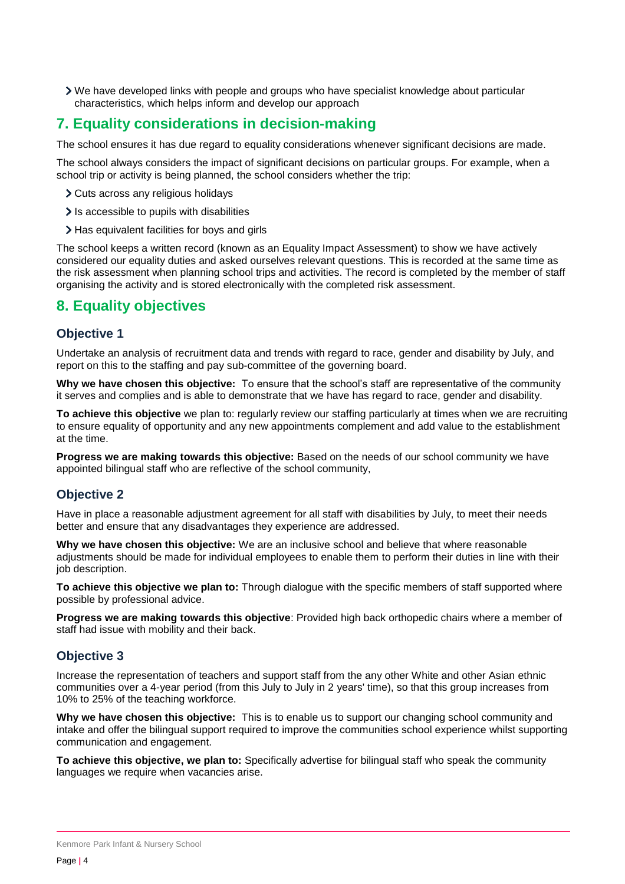We have developed links with people and groups who have specialist knowledge about particular characteristics, which helps inform and develop our approach

## <span id="page-3-0"></span>**7. Equality considerations in decision-making**

The school ensures it has due regard to equality considerations whenever significant decisions are made.

The school always considers the impact of significant decisions on particular groups. For example, when a school trip or activity is being planned, the school considers whether the trip:

- Cuts across any religious holidays
- $\sum$  Is accessible to pupils with disabilities
- > Has equivalent facilities for boys and girls

The school keeps a written record (known as an Equality Impact Assessment) to show we have actively considered our equality duties and asked ourselves relevant questions. This is recorded at the same time as the risk assessment when planning school trips and activities. The record is completed by the member of staff organising the activity and is stored electronically with the completed risk assessment.

#### <span id="page-3-1"></span>**8. Equality objectives**

#### **Objective 1**

Undertake an analysis of recruitment data and trends with regard to race, gender and disability by July, and report on this to the staffing and pay sub-committee of the governing board.

**Why we have chosen this objective:** To ensure that the school's staff are representative of the community it serves and complies and is able to demonstrate that we have has regard to race, gender and disability.

**To achieve this objective** we plan to: regularly review our staffing particularly at times when we are recruiting to ensure equality of opportunity and any new appointments complement and add value to the establishment at the time.

**Progress we are making towards this objective:** Based on the needs of our school community we have appointed bilingual staff who are reflective of the school community,

#### **Objective 2**

Have in place a reasonable adjustment agreement for all staff with disabilities by July, to meet their needs better and ensure that any disadvantages they experience are addressed.

**Why we have chosen this objective:** We are an inclusive school and believe that where reasonable adjustments should be made for individual employees to enable them to perform their duties in line with their job description.

**To achieve this objective we plan to:** Through dialogue with the specific members of staff supported where possible by professional advice.

**Progress we are making towards this objective**: Provided high back orthopedic chairs where a member of staff had issue with mobility and their back.

#### **Objective 3**

Increase the representation of teachers and support staff from the any other White and other Asian ethnic communities over a 4-year period (from this July to July in 2 years' time), so that this group increases from 10% to 25% of the teaching workforce.

**Why we have chosen this objective:** This is to enable us to support our changing school community and intake and offer the bilingual support required to improve the communities school experience whilst supporting communication and engagement.

**To achieve this objective, we plan to:** Specifically advertise for bilingual staff who speak the community languages we require when vacancies arise.